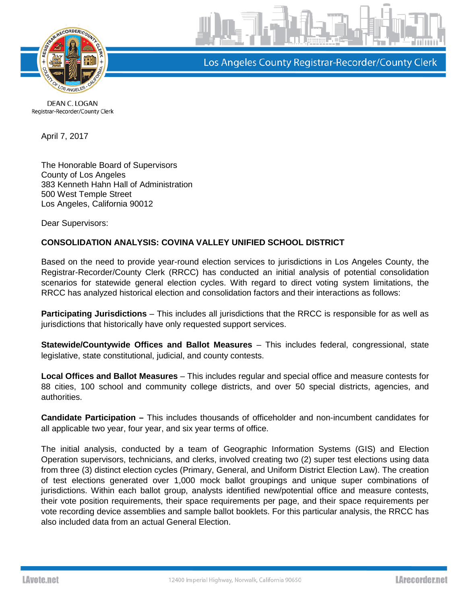

Los Angeles County Registrar-Recorder/County Clerk

DEAN C. LOGAN Registrar-Recorder/County Clerk

April 7, 2017

The Honorable Board of Supervisors County of Los Angeles 383 Kenneth Hahn Hall of Administration 500 West Temple Street Los Angeles, California 90012

Dear Supervisors:

## **CONSOLIDATION ANALYSIS: COVINA VALLEY UNIFIED SCHOOL DISTRICT**

Based on the need to provide year-round election services to jurisdictions in Los Angeles County, the Registrar-Recorder/County Clerk (RRCC) has conducted an initial analysis of potential consolidation scenarios for statewide general election cycles. With regard to direct voting system limitations, the RRCC has analyzed historical election and consolidation factors and their interactions as follows:

**Participating Jurisdictions** – This includes all jurisdictions that the RRCC is responsible for as well as jurisdictions that historically have only requested support services.

**Statewide/Countywide Offices and Ballot Measures** – This includes federal, congressional, state legislative, state constitutional, judicial, and county contests.

**Local Offices and Ballot Measures** – This includes regular and special office and measure contests for 88 cities, 100 school and community college districts, and over 50 special districts, agencies, and authorities.

**Candidate Participation –** This includes thousands of officeholder and non-incumbent candidates for all applicable two year, four year, and six year terms of office.

The initial analysis, conducted by a team of Geographic Information Systems (GIS) and Election Operation supervisors, technicians, and clerks, involved creating two (2) super test elections using data from three (3) distinct election cycles (Primary, General, and Uniform District Election Law). The creation of test elections generated over 1,000 mock ballot groupings and unique super combinations of jurisdictions. Within each ballot group, analysts identified new/potential office and measure contests, their vote position requirements, their space requirements per page, and their space requirements per vote recording device assemblies and sample ballot booklets. For this particular analysis, the RRCC has also included data from an actual General Election.